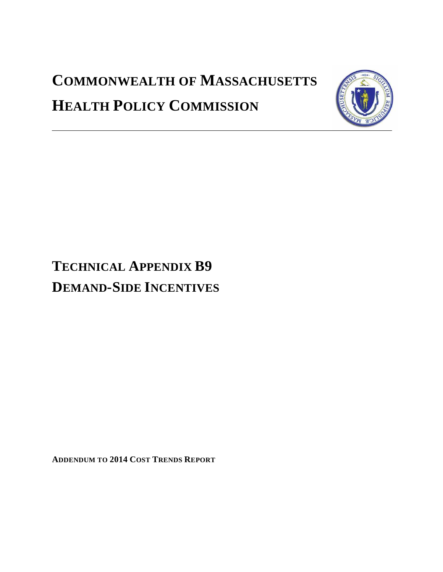# **COMMONWEALTH OF MASSACHUSETTS HEALTH POLICY COMMISSION**



# **TECHNICAL APPENDIX B9 DEMAND-SIDE INCENTIVES**

**ADDENDUM TO 2014 COST TRENDS REPORT**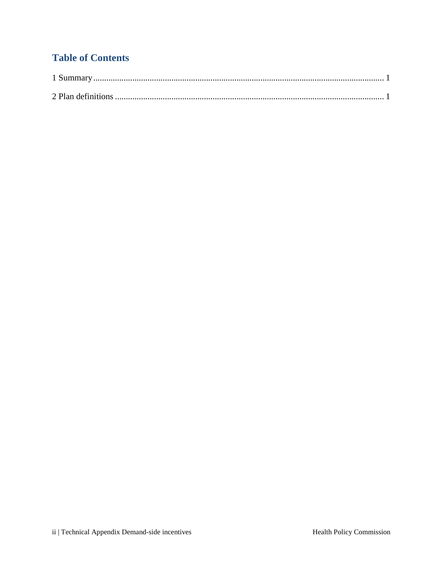## **Table of Contents**